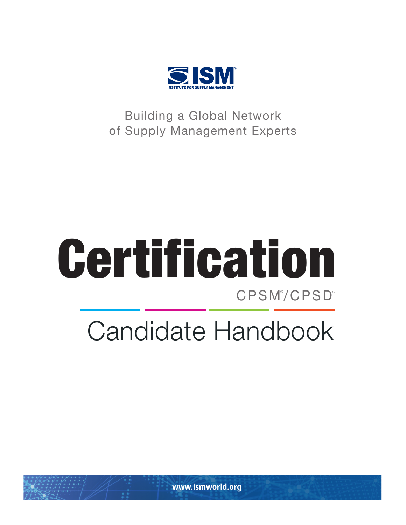

Building a Global Network of Supply Management Experts

# CPSM® /CPSD™ Certification

# Candidate Handbook

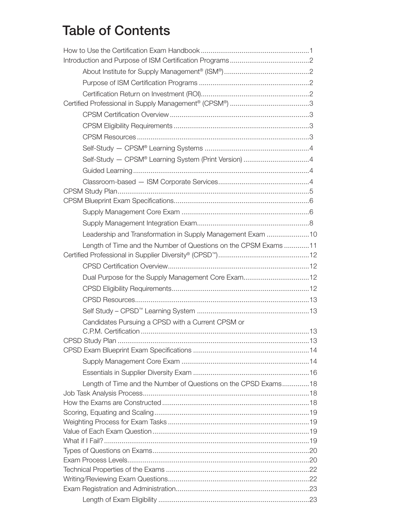### Table of Contents

| Leadership and Transformation in Supply Management Exam 10      |  |
|-----------------------------------------------------------------|--|
| Length of Time and the Number of Questions on the CPSM Exams 11 |  |
|                                                                 |  |
|                                                                 |  |
| Dual Purpose for the Supply Management Core Exam12              |  |
|                                                                 |  |
|                                                                 |  |
|                                                                 |  |
| Candidates Pursuing a CPSD with a Current CPSM or               |  |
|                                                                 |  |
|                                                                 |  |
|                                                                 |  |
|                                                                 |  |
| Length of Time and the Number of Questions on the CPSD Exams18  |  |
|                                                                 |  |
|                                                                 |  |
|                                                                 |  |
|                                                                 |  |
|                                                                 |  |
|                                                                 |  |
|                                                                 |  |
|                                                                 |  |
|                                                                 |  |
|                                                                 |  |
|                                                                 |  |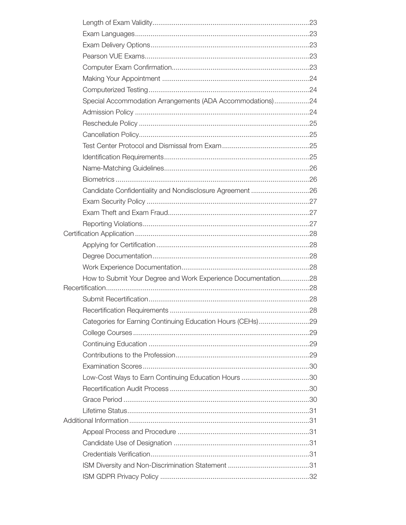| Special Accommodation Arrangements (ADA Accommodations)24     |  |
|---------------------------------------------------------------|--|
|                                                               |  |
|                                                               |  |
|                                                               |  |
|                                                               |  |
|                                                               |  |
|                                                               |  |
|                                                               |  |
| Candidate Confidentiality and Nondisclosure Agreement 26      |  |
|                                                               |  |
|                                                               |  |
|                                                               |  |
|                                                               |  |
|                                                               |  |
|                                                               |  |
|                                                               |  |
| How to Submit Your Degree and Work Experience Documentation28 |  |
|                                                               |  |
|                                                               |  |
|                                                               |  |
| Categories for Earning Continuing Education Hours (CEHs)29    |  |
|                                                               |  |
|                                                               |  |
|                                                               |  |
|                                                               |  |
|                                                               |  |
|                                                               |  |
|                                                               |  |
|                                                               |  |
|                                                               |  |
|                                                               |  |
|                                                               |  |
|                                                               |  |
|                                                               |  |
|                                                               |  |
|                                                               |  |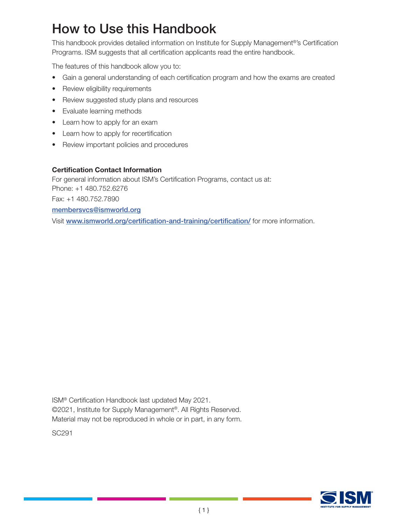### How to Use this Handbook

This handbook provides detailed information on Institute for Supply Management®'s Certification Programs. ISM suggests that all certification applicants read the entire handbook.

The features of this handbook allow you to:

- Gain a general understanding of each certification program and how the exams are created
- Review eligibility requirements
- Review suggested study plans and resources
- Evaluate learning methods
- Learn how to apply for an exam
- Learn how to apply for recertification
- Review important policies and procedures

#### Certification Contact Information

For general information about ISM's Certification Programs, contact us at: Phone: +1 480.752.6276 Fax: +1 480.752.7890 [membersvcs@ismworld.org](http://membersvcs@ismworld.org) Visit [ww](www.instituteforsupplymanagement.org/certification)w.ismworld.org/certification-and-training/certification/ for more information.

ISM® Certification Handbook last updated May 2021. ©2021, Institute for Supply Management®. All Rights Reserved. Material may not be reproduced in whole or in part, in any form.

SC291

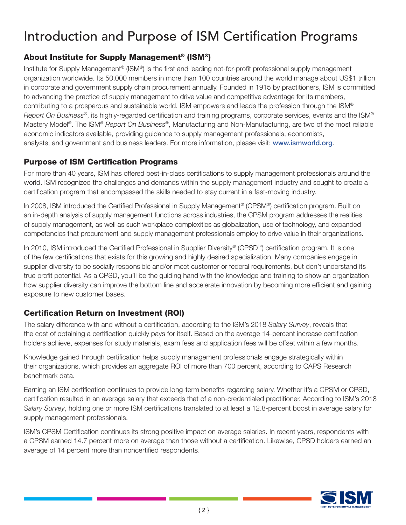## Introduction and Purpose of ISM Certification Programs

### About Institute for Supply Management® (ISM®)

Institute for Supply Management® (ISM®) is the first and leading not-for-profit professional supply management organization worldwide. Its 50,000 members in more than 100 countries around the world manage about US\$1 trillion in corporate and government supply chain procurement annually. Founded in 1915 by practitioners, ISM is committed to advancing the practice of supply management to drive value and competitive advantage for its members, contributing to a prosperous and sustainable world. ISM empowers and leads the profession through the ISM® *Report On Business*®, its highly-regarded certification and training programs, corporate services, events and the ISM® Mastery Model®. The ISM® *Report On Business*®, Manufacturing and Non-Manufacturing, are two of the most reliable economic indicators available, providing guidance to supply management professionals, economists, analysts, and government and business leaders. For more information, please visit: www.ismworld.org.

#### Purpose of ISM Certification Programs

For more than 40 years, ISM has offered best-in-class certifications to supply management professionals around the world. ISM recognized the challenges and demands within the supply management industry and sought to create a certification program that encompassed the skills needed to stay current in a fast-moving industry.

In 2008, ISM introduced the Certified Professional in Supply Management® (CPSM®) certification program. Built on an in-depth analysis of supply management functions across industries, the CPSM program addresses the realities of supply management, as well as such workplace complexities as globalization, use of technology, and expanded competencies that procurement and supply management professionals employ to drive value in their organizations.

In 2010, ISM introduced the Certified Professional in Supplier Diversity® (CPSD™) certification program. It is one of the few certifications that exists for this growing and highly desired specialization. Many companies engage in supplier diversity to be socially responsible and/or meet customer or federal requirements, but don't understand its true profit potential. As a CPSD, you'll be the guiding hand with the knowledge and training to show an organization how supplier diversity can improve the bottom line and accelerate innovation by becoming more efficient and gaining exposure to new customer bases.

#### Certification Return on Investment (ROI)

The salary difference with and without a certification, according to the ISM's 2018 *Salary Survey*, reveals that the cost of obtaining a certification quickly pays for itself. Based on the average 14-percent increase certification holders achieve, expenses for study materials, exam fees and application fees will be offset within a few months.

Knowledge gained through certification helps supply management professionals engage strategically within their organizations, which provides an aggregate ROI of more than 700 percent, according to CAPS Research benchmark data.

Earning an ISM certification continues to provide long-term benefits regarding salary. Whether it's a CPSM or CPSD, certification resulted in an average salary that exceeds that of a non-credentialed practitioner. According to ISM's 2018 *Salary Survey*, holding one or more ISM certifications translated to at least a 12.8-percent boost in average salary for supply management professionals.

ISM's CPSM Certification continues its strong positive impact on average salaries. In recent years, respondents with a CPSM earned 14.7 percent more on average than those without a certification. Likewise, CPSD holders earned an average of 14 percent more than noncertified respondents.

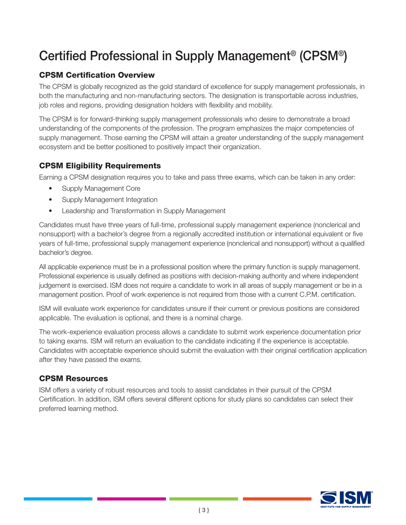### Certified Professional in Supply Management® (CPSM®)

### CPSM Certification Overview

The CPSM is globally recognized as the gold standard of excellence for supply management professionals, in both the manufacturing and non-manufacturing sectors. The designation is transportable across industries, job roles and regions, providing designation holders with flexibility and mobility.

The CPSM is for forward-thinking supply management professionals who desire to demonstrate a broad understanding of the components of the profession. The program emphasizes the major competencies of supply management. Those earning the CPSM will attain a greater understanding of the supply management ecosystem and be better positioned to positively impact their organization.

#### CPSM Eligibility Requirements

Earning a CPSM designation requires you to take and pass three exams, which can be taken in any order:

- Supply Management Core
- Supply Management Integration
- Leadership and Transformation in Supply Management

Candidates must have three years of full-time, professional supply management experience (nonclerical and nonsupport) with a bachelor's degree from a regionally accredited institution or international equivalent or five years of full-time, professional supply management experience (nonclerical and nonsupport) without a qualified bachelor's degree.

All applicable experience must be in a professional position where the primary function is supply management. Professional experience is usually defined as positions with decision-making authority and where independent judgement is exercised. ISM does not require a candidate to work in all areas of supply management or be in a management position. Proof of work experience is not required from those with a current C.P.M. certification.

ISM will evaluate work experience for candidates unsure if their current or previous positions are considered applicable. The evaluation is optional, and there is a nominal charge.

The work-experience evaluation process allows a candidate to submit work experience documentation prior to taking exams. ISM will return an evaluation to the candidate indicating if the experience is acceptable. Candidates with acceptable experience should submit the evaluation with their original certification application after they have passed the exams.

#### CPSM Resources

ISM offers a variety of robust resources and tools to assist candidates in their pursuit of the CPSM Certification. In addition, ISM offers several different options for study plans so candidates can select their preferred learning method.

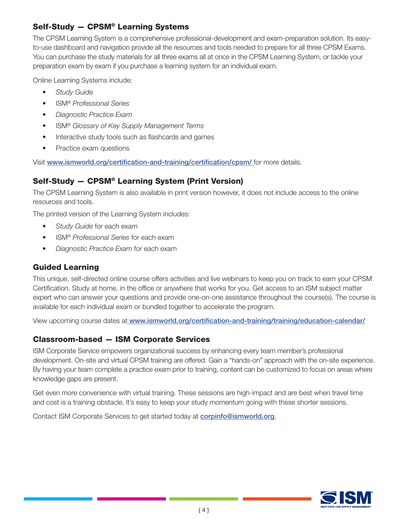#### Self-Study — CPSM® Learning Systems

The CPSM Learning System is a comprehensive professional-development and exam-preparation solution. Its easyto-use dashboard and navigation provide all the resources and tools needed to prepare for all three CPSM Exams. You can purchase the study materials for all three exams all at once in the CPSM Learning System, or tackle your preparation exam by exam if you purchase a learning system for an individual exam.

Online Learning Systems include:

- *Study Guide*
- ISM® *Professional Series*
- *Diagnostic Practice Exam*
- ISM® *Glossary of Key Supply Management Terms*
- Interactive study tools such as flashcards and games
- Practice exam questions

Visit www.ismworld.org/certification-and-training/certification/cpsm/ for more details.

#### Self-Study — CPSM® Learning System (Print Version)

The CPSM Learning System is also available in print version however, it does not include access to the online resources and tools.

The printed version of the Learning System includes:

- *Study Guide* for each exam
- ISM® *Professional Series* for each exam
- *Diagnostic Practice Exam* for each exam

#### Guided Learning

This unique, self-directed online course offers activities and live webinars to keep you on track to earn your CPSM Certification. Study at home, in the office or anywhere that works for you. Get access to an ISM subject matter expert who can answer your questions and provide one-on-one assistance throughout the course(s). The course is available for each individual exam or bundled together to accelerate the program.

View upcoming course dates at www.ismworld.org/certification-and-training/training/education-calendar/

#### Classroom-based — ISM Corporate Services

ISM Corporate Service empowers organizational success by enhancing every team member's professional development. On-site and virtual CPSM training are offered. Gain a "hands-on" approach with the on-site experience. By having your team complete a practice exam prior to training, content can be customized to focus on areas where knowledge gaps are present.

Get even more convenience with virtual training. These sessions are high-impact and are best when travel time and cost is a training obstacle. It's easy to keep your study momentum going with these shorter sessions.

Contact ISM Corporate Services to get started today at corpinf[o@ismworld.org](info@ismsvcs.org).

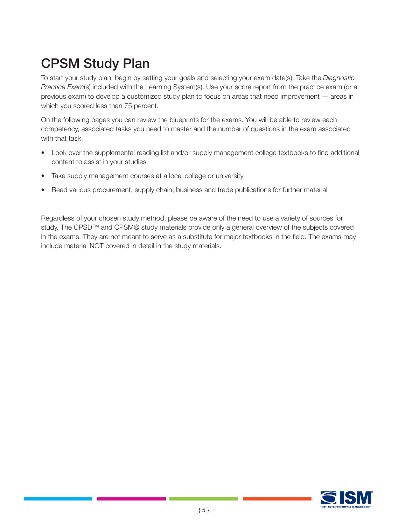# CPSM Study Plan

To start your study plan, begin by setting your goals and selecting your exam date(s). Take the *Diagnostic Practice Exam*(s) included with the Learning System(s). Use your score report from the practice exam (or a previous exam) to develop a customized study plan to focus on areas that need improvement — areas in which you scored less than 75 percent.

On the following pages you can review the blueprints for the exams. You will be able to review each competency, associated tasks you need to master and the number of questions in the exam associated with that task.

- Look over the supplemental reading list and/or supply management college textbooks to find additional content to assist in your studies
- Take supply management courses at a local college or university
- Read various procurement, supply chain, business and trade publications for further material

Regardless of your chosen study method, please be aware of the need to use a variety of sources for study. The CPSD™ and CPSM® study materials provide only a general overview of the subjects covered in the exams. They are not meant to serve as a substitute for major textbooks in the field. The exams may include material NOT covered in detail in the study materials.

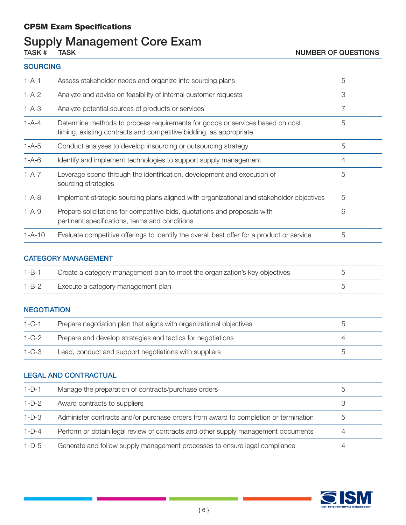#### CPSM Exam Specifications

# Supply Management Core Exam<br>TASK # TASK

#### **SOURCING**

| $1 - A - 1$  | Assess stakeholder needs and organize into sourcing plans                                                                                            | 5 |
|--------------|------------------------------------------------------------------------------------------------------------------------------------------------------|---|
| $1 - A - 2$  | Analyze and advise on feasibility of internal customer requests                                                                                      | 3 |
| $1 - A - 3$  | Analyze potential sources of products or services                                                                                                    | 7 |
| $1 - A - 4$  | Determine methods to process requirements for goods or services based on cost,<br>timing, existing contracts and competitive bidding, as appropriate | 5 |
| $1 - A - 5$  | Conduct analyses to develop insourcing or outsourcing strategy                                                                                       | 5 |
| $1 - A - 6$  | Identify and implement technologies to support supply management                                                                                     | 4 |
| $1 - A - 7$  | Leverage spend through the identification, development and execution of<br>sourcing strategies                                                       | 5 |
| $1 - A - 8$  | Implement strategic sourcing plans aligned with organizational and stakeholder objectives                                                            | 5 |
| $1 - A - 9$  | Prepare solicitations for competitive bids, quotations and proposals with<br>pertinent specifications, terms and conditions                          | 6 |
| $1 - A - 10$ | Evaluate competitive offerings to identify the overall best offer for a product or service                                                           | 5 |

#### CATEGORY MANAGEMENT

| $1 - B - 1$ | Create a category management plan to meet the organization's key objectives |  |
|-------------|-----------------------------------------------------------------------------|--|
| $1 - B - 2$ | Execute a category management plan                                          |  |

#### **NEGOTIATION**

| $1 - C - 1$ | Prepare negotiation plan that aligns with organizational objectives |  |
|-------------|---------------------------------------------------------------------|--|
| $1 - C - 2$ | Prepare and develop strategies and tactics for negotiations         |  |
| $1 - C - 3$ | Lead, conduct and support negotiations with suppliers               |  |

#### LEGAL AND CONTRACTUAL

| $1-D-1$ | Manage the preparation of contracts/purchase orders                                 | .5 |
|---------|-------------------------------------------------------------------------------------|----|
| $1-D-2$ | Award contracts to suppliers                                                        | 3  |
| $1-D-3$ | Administer contracts and/or purchase orders from award to completion or termination | 5  |
| $1-D-4$ | Perform or obtain legal review of contracts and other supply management documents   |    |
| $1-D-5$ | Generate and follow supply management processes to ensure legal compliance          | 4  |

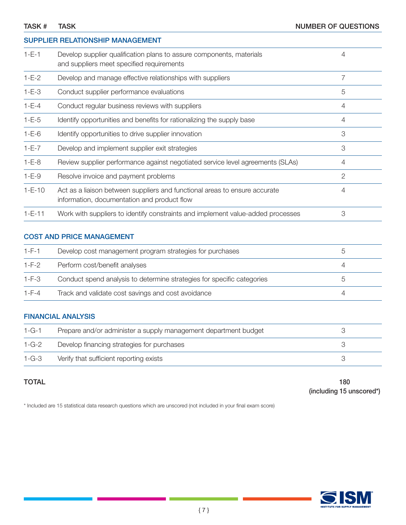|              | SUPPLIER RELATIONSHIP MANAGEMENT                                                                                          |                |
|--------------|---------------------------------------------------------------------------------------------------------------------------|----------------|
| $1 - E - 1$  | Develop supplier qualification plans to assure components, materials<br>and suppliers meet specified requirements         | 4              |
| $1-E-2$      | Develop and manage effective relationships with suppliers                                                                 | $\overline{7}$ |
| $1 - E - 3$  | Conduct supplier performance evaluations                                                                                  | 5              |
| $1 - E - 4$  | Conduct regular business reviews with suppliers                                                                           | 4              |
| $1 - E - 5$  | Identify opportunities and benefits for rationalizing the supply base                                                     | 4              |
| $1 - E - 6$  | Identify opportunities to drive supplier innovation                                                                       | 3              |
| $1-E-7$      | Develop and implement supplier exit strategies                                                                            | 3              |
| $1-E-8$      | Review supplier performance against negotiated service level agreements (SLAs)                                            | 4              |
| $1 - E - 9$  | Resolve invoice and payment problems                                                                                      | $\mathbf{2}$   |
| $1 - E - 10$ | Act as a liaison between suppliers and functional areas to ensure accurate<br>information, documentation and product flow | 4              |
| $1 - E - 11$ | Work with suppliers to identify constraints and implement value-added processes                                           | 3              |

#### COST AND PRICE MANAGEMENT

| $1-F-1$     | Develop cost management program strategies for purchases               |   |
|-------------|------------------------------------------------------------------------|---|
| $1-F-2$     | Perform cost/benefit analyses                                          |   |
| $1-F-3$     | Conduct spend analysis to determine strategies for specific categories | h |
| $1 - F - 4$ | Track and validate cost savings and cost avoidance                     |   |

#### FINANCIAL ANALYSIS

| $1 - G - 1$ | Prepare and/or administer a supply management department budget |  |
|-------------|-----------------------------------------------------------------|--|
| $1 - G - 2$ | Develop financing strategies for purchases                      |  |
| $1 - G - 3$ | Verify that sufficient reporting exists                         |  |

TOTAL 180 (including 15 unscored\*)

\* Included are 15 statistical data research questions which are unscored (not included in your final exam score)

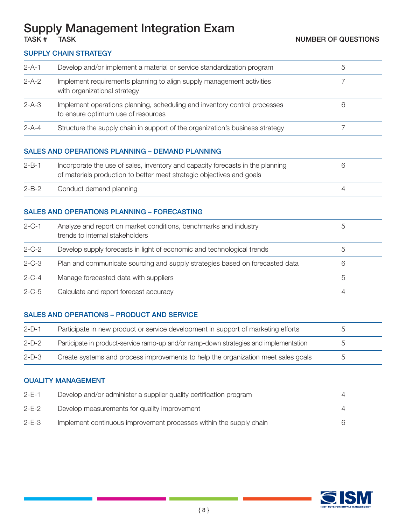### Supply Management Integration Exam

#### SUPPLY CHAIN STRATEGY

| $2 - A - 1$ | Develop and/or implement a material or service standardization program                                          | $\circ$ |
|-------------|-----------------------------------------------------------------------------------------------------------------|---------|
| $2 - A - 2$ | Implement requirements planning to align supply management activities<br>with organizational strategy           |         |
| $2 - A - 3$ | Implement operations planning, scheduling and inventory control processes<br>to ensure optimum use of resources | 6       |
| $2 - A - 4$ | Structure the supply chain in support of the organization's business strategy                                   |         |
|             |                                                                                                                 |         |

#### SALES AND OPERATIONS PLANNING – DEMAND PLANNING

| $2 - B - 1$ | Incorporate the use of sales, inventory and capacity forecasts in the planning<br>of materials production to better meet strategic objectives and goals |  |
|-------------|---------------------------------------------------------------------------------------------------------------------------------------------------------|--|
| $2 - B - 2$ | Conduct demand planning                                                                                                                                 |  |

#### SALES AND OPERATIONS PLANNING – FORECASTING

| $2 - C - 1$ | Analyze and report on market conditions, benchmarks and industry<br>trends to internal stakeholders | $\circ$        |
|-------------|-----------------------------------------------------------------------------------------------------|----------------|
| $2 - C - 2$ | Develop supply forecasts in light of economic and technological trends                              | $\circ$        |
| $2 - C - 3$ | Plan and communicate sourcing and supply strategies based on forecasted data                        |                |
| $2 - C - 4$ | Manage forecasted data with suppliers                                                               | h              |
| $2 - C - 5$ | Calculate and report forecast accuracy                                                              | $\overline{4}$ |

#### SALES AND OPERATIONS – PRODUCT AND SERVICE

| $2-D-1$ | Participate in new product or service development in support of marketing efforts     |  |
|---------|---------------------------------------------------------------------------------------|--|
| $2-D-2$ | Participate in product-service ramp-up and/or ramp-down strategies and implementation |  |
| $2-D-3$ | Create systems and process improvements to help the organization meet sales goals     |  |

#### QUALITY MANAGEMENT

| $2-F-1$     | Develop and/or administer a supplier quality certification program |  |
|-------------|--------------------------------------------------------------------|--|
| $2-E-2$     | Develop measurements for quality improvement                       |  |
| $2 - E - 3$ | Implement continuous improvement processes within the supply chain |  |

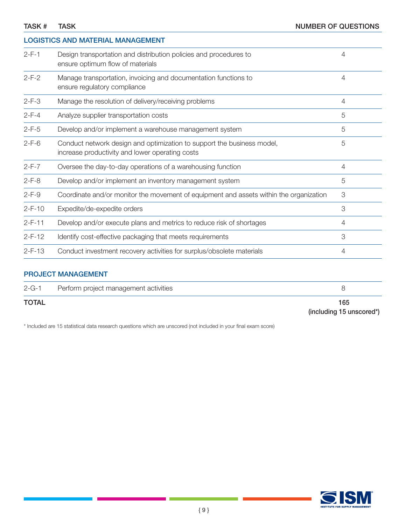| TASK #       | <b>TASK</b>                                                                                                               | <b>NUMBER OF QUESTIONS</b> |
|--------------|---------------------------------------------------------------------------------------------------------------------------|----------------------------|
|              | <b>LOGISTICS AND MATERIAL MANAGEMENT</b>                                                                                  |                            |
| $2-F-1$      | Design transportation and distribution policies and procedures to<br>ensure optimum flow of materials                     | 4                          |
| $2-F-2$      | Manage transportation, invoicing and documentation functions to<br>ensure regulatory compliance                           | $\overline{4}$             |
| $2-F-3$      | Manage the resolution of delivery/receiving problems                                                                      | 4                          |
| $2-F-4$      | Analyze supplier transportation costs                                                                                     | 5                          |
| $2 - F - 5$  | Develop and/or implement a warehouse management system                                                                    | 5                          |
| $2 - F - 6$  | Conduct network design and optimization to support the business model,<br>increase productivity and lower operating costs | 5                          |
| $2-F-7$      | Oversee the day-to-day operations of a warehousing function                                                               | 4                          |
| $2-F-8$      | Develop and/or implement an inventory management system                                                                   | 5                          |
| $2-F-9$      | Coordinate and/or monitor the movement of equipment and assets within the organization                                    | 3                          |
| $2-F-10$     | Expedite/de-expedite orders                                                                                               | 3                          |
| $2-F-11$     | Develop and/or execute plans and metrics to reduce risk of shortages                                                      | 4                          |
| $2-F-12$     | Identify cost-effective packaging that meets requirements                                                                 | 3                          |
| $2 - F - 13$ | Conduct investment recovery activities for surplus/obsolete materials                                                     | 4                          |
|              | <b>PROJECT MANAGEMENT</b>                                                                                                 |                            |
| $2 - G - 1$  | Perform project management activities                                                                                     | 8                          |

TOTAL 165

(including 15 unscored\*)

\* Included are 15 statistical data research questions which are unscored (not included in your final exam score)

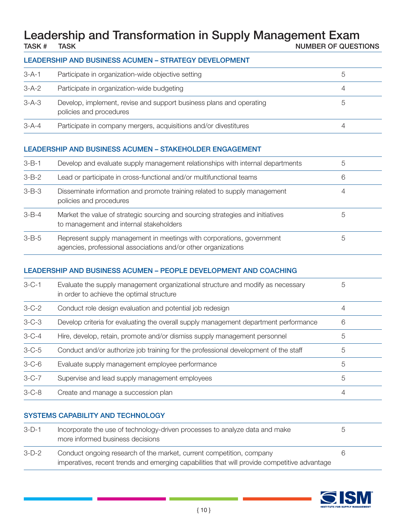### Leadership and Transformation in Supply Management Exam<br>
NUMBER OF QUEST NUMBER OF QUESTIONS

#### LEADERSHIP AND BUSINESS ACUMEN – STRATEGY DEVELOPMENT

| $3 - A - 1$ | Participate in organization-wide objective setting                                             |   |
|-------------|------------------------------------------------------------------------------------------------|---|
| $3-A-2$     | Participate in organization-wide budgeting                                                     |   |
| $3-A-3$     | Develop, implement, revise and support business plans and operating<br>policies and procedures | b |
| $3 - A - 4$ | Participate in company mergers, acquisitions and/or divestitures                               | 4 |

#### LEADERSHIP AND BUSINESS ACUMEN – STAKEHOLDER ENGAGEMENT

| $3 - B - 1$ | Develop and evaluate supply management relationships with internal departments                                                          | b |
|-------------|-----------------------------------------------------------------------------------------------------------------------------------------|---|
| $3-B-2$     | Lead or participate in cross-functional and/or multifunctional teams                                                                    | 6 |
| $3 - B - 3$ | Disseminate information and promote training related to supply management<br>policies and procedures                                    | 4 |
| $3 - B - 4$ | Market the value of strategic sourcing and sourcing strategies and initiatives<br>to management and internal stakeholders               | b |
| $3 - B - 5$ | Represent supply management in meetings with corporations, government<br>agencies, professional associations and/or other organizations | 5 |

#### LEADERSHIP AND BUSINESS ACUMEN – PEOPLE DEVELOPMENT AND COACHING

| $3 - C - 1$ | Evaluate the supply management organizational structure and modify as necessary<br>in order to achieve the optimal structure | 5 |
|-------------|------------------------------------------------------------------------------------------------------------------------------|---|
| $3 - C - 2$ | Conduct role design evaluation and potential job redesign                                                                    | 4 |
| $3 - C - 3$ | Develop criteria for evaluating the overall supply management department performance                                         | 6 |
| $3 - C - 4$ | Hire, develop, retain, promote and/or dismiss supply management personnel                                                    | 5 |
| $3 - C - 5$ | Conduct and/or authorize job training for the professional development of the staff                                          | 5 |
| $3-C-6$     | Evaluate supply management employee performance                                                                              | 5 |
| $3 - C - 7$ | Supervise and lead supply management employees                                                                               | 5 |
| $3 - C - 8$ | Create and manage a succession plan                                                                                          | 4 |

#### SYSTEMS CAPABILITY AND TECHNOLOGY

| $3-D-1$ | Incorporate the use of technology-driven processes to analyze data and make<br>more informed business decisions |  |
|---------|-----------------------------------------------------------------------------------------------------------------|--|
| $3-D-2$ | Conduct ongoing research of the market, current competition, company                                            |  |
|         | imperatives, recent trends and emerging capabilities that will provide competitive advantage                    |  |

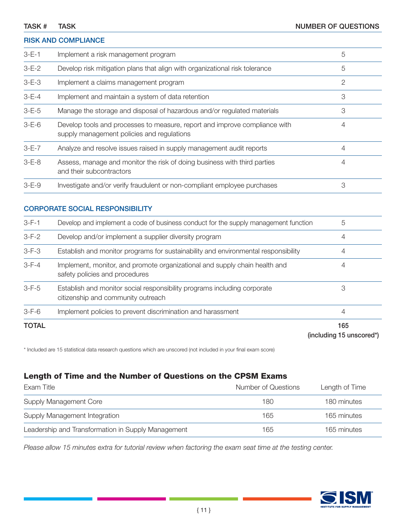#### RISK AND COMPLIANCE

| $3-E-1$     | Implement a risk management program                                                                                      | 5 |
|-------------|--------------------------------------------------------------------------------------------------------------------------|---|
| $3-E-2$     | Develop risk mitigation plans that align with organizational risk tolerance                                              | 5 |
| $3 - E - 3$ | Implement a claims management program                                                                                    | 2 |
| $3 - E - 4$ | Implement and maintain a system of data retention                                                                        | 3 |
| $3 - E - 5$ | Manage the storage and disposal of hazardous and/or regulated materials                                                  | 3 |
| $3 - E - 6$ | Develop tools and processes to measure, report and improve compliance with<br>supply management policies and regulations | 4 |
| $3-E-7$     | Analyze and resolve issues raised in supply management audit reports                                                     | 4 |
| $3 - E - 8$ | Assess, manage and monitor the risk of doing business with third parties<br>and their subcontractors                     | 4 |
| $3 - E - 9$ | Investigate and/or verify fraudulent or non-compliant employee purchases                                                 | 3 |

#### CORPORATE SOCIAL RESPONSIBILITY

| <b>TOTAL</b> |                                                                                                                | 165<br>(including 15 unscored*) |
|--------------|----------------------------------------------------------------------------------------------------------------|---------------------------------|
| $3-F-6$      | Implement policies to prevent discrimination and harassment                                                    | 4                               |
| $3-F-5$      | Establish and monitor social responsibility programs including corporate<br>citizenship and community outreach | 3                               |
| $3-F-4$      | Implement, monitor, and promote organizational and supply chain health and<br>safety policies and procedures   | 4                               |
| $3-F-3$      | Establish and monitor programs for sustainability and environmental responsibility                             | 4                               |
| $3-F-2$      | Develop and/or implement a supplier diversity program                                                          | 4                               |
| $3 - F - 1$  | Develop and implement a code of business conduct for the supply management function                            | 5                               |

\* Included are 15 statistical data research questions which are unscored (not included in your final exam score)

#### Length of Time and the Number of Questions on the CPSM Exams

| Exam Title                                         | Number of Questions | Length of Time |
|----------------------------------------------------|---------------------|----------------|
| <b>Supply Management Core</b>                      | 180                 | 180 minutes    |
| Supply Management Integration                      | 165                 | 165 minutes    |
| Leadership and Transformation in Supply Management | 165                 | 165 minutes    |

*Please allow 15 minutes extra for tutorial review when factoring the exam seat time at the testing center.*

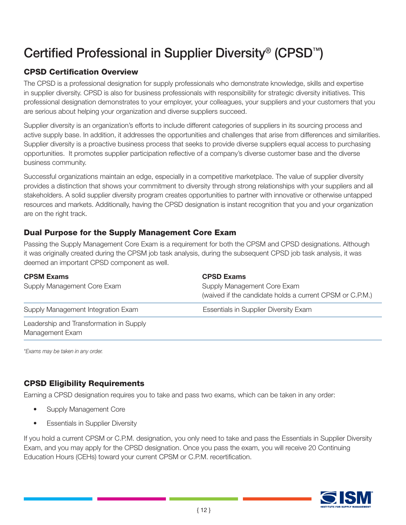## Certified Professional in Supplier Diversity® (CPSD™)

### CPSD Certification Overview

The CPSD is a professional designation for supply professionals who demonstrate knowledge, skills and expertise in supplier diversity. CPSD is also for business professionals with responsibility for strategic diversity initiatives. This professional designation demonstrates to your employer, your colleagues, your suppliers and your customers that you are serious about helping your organization and diverse suppliers succeed.

Supplier diversity is an organization's efforts to include different categories of suppliers in its sourcing process and active supply base. In addition, it addresses the opportunities and challenges that arise from differences and similarities. Supplier diversity is a proactive business process that seeks to provide diverse suppliers equal access to purchasing opportunities. It promotes supplier participation reflective of a company's diverse customer base and the diverse business community.

Successful organizations maintain an edge, especially in a competitive marketplace. The value of supplier diversity provides a distinction that shows your commitment to diversity through strong relationships with your suppliers and all stakeholders. A solid supplier diversity program creates opportunities to partner with innovative or otherwise untapped resources and markets. Additionally, having the CPSD designation is instant recognition that you and your organization are on the right track.

#### Dual Purpose for the Supply Management Core Exam

Passing the Supply Management Core Exam is a requirement for both the CPSM and CPSD designations. Although it was originally created during the CPSM job task analysis, during the subsequent CPSD job task analysis, it was deemed an important CPSD component as well.

| <b>CPSM Exams</b><br>Supply Management Core Exam           | <b>CPSD Exams</b><br>Supply Management Core Exam<br>(waived if the candidate holds a current CPSM or C.P.M.) |
|------------------------------------------------------------|--------------------------------------------------------------------------------------------------------------|
| Supply Management Integration Exam                         | <b>Essentials in Supplier Diversity Exam</b>                                                                 |
| Leadership and Transformation in Supply<br>Management Exam |                                                                                                              |

*\*Exams may be taken in any order.*

#### CPSD Eligibility Requirements

Earning a CPSD designation requires you to take and pass two exams, which can be taken in any order:

- Supply Management Core
- **Essentials in Supplier Diversity**

If you hold a current CPSM or C.P.M. designation, you only need to take and pass the Essentials in Supplier Diversity Exam, and you may apply for the CPSD designation. Once you pass the exam, you will receive 20 Continuing Education Hours (CEHs) toward your current CPSM or C.P.M. recertification.

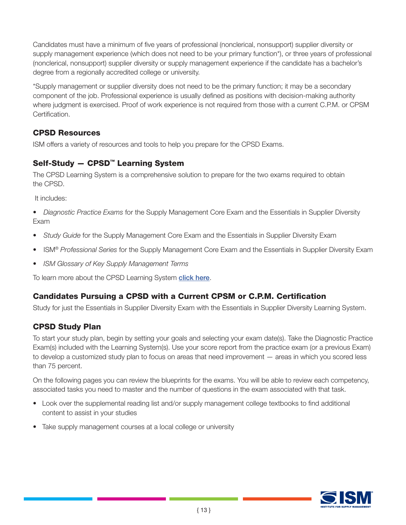Candidates must have a minimum of five years of professional (nonclerical, nonsupport) supplier diversity or supply management experience (which does not need to be your primary function\*), or three years of professional (nonclerical, nonsupport) supplier diversity or supply management experience if the candidate has a bachelor's degree from a regionally accredited college or university.

\*Supply management or supplier diversity does not need to be the primary function; it may be a secondary component of the job. Professional experience is usually defined as positions with decision-making authority where judgment is exercised. Proof of work experience is not required from those with a current C.P.M. or CPSM Certification.

#### CPSD Resources

ISM offers a variety of resources and tools to help you prepare for the CPSD Exams.

#### Self-Study — CPSD™ Learning System

The CPSD Learning System is a comprehensive solution to prepare for the two exams required to obtain the CPSD.

It includes:

- *Diagnostic Practice Exams* for the Supply Management Core Exam and the Essentials in Supplier Diversity Exam
- *Study Guide* for the Supply Management Core Exam and the Essentials in Supplier Diversity Exam
- ISM® *Professional Series* for the Supply Management Core Exam and the Essentials in Supplier Diversity Exam
- *ISM Glossary of Key Supply Management Terms*

To learn more about the CPSD Learning System [click here](https://www.ismworld.org/certification-and-training/certification/cpsd/cpsd-getting-started/).

#### Candidates Pursuing a CPSD with a Current CPSM or C.P.M. Certification

Study for just the Essentials in Supplier Diversity Exam with the Essentials in Supplier Diversity Learning System.

#### CPSD Study Plan

To start your study plan, begin by setting your goals and selecting your exam date(s). Take the Diagnostic Practice Exam(s) included with the Learning System(s). Use your score report from the practice exam (or a previous Exam) to develop a customized study plan to focus on areas that need improvement — areas in which you scored less than 75 percent.

On the following pages you can review the blueprints for the exams. You will be able to review each competency, associated tasks you need to master and the number of questions in the exam associated with that task.

- Look over the supplemental reading list and/or supply management college textbooks to find additional content to assist in your studies
- Take supply management courses at a local college or university

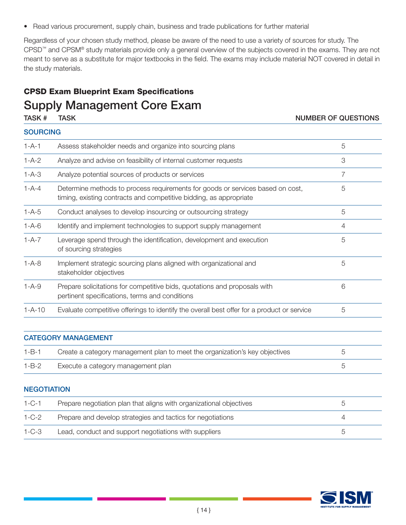• Read various procurement, supply chain, business and trade publications for further material

Regardless of your chosen study method, please be aware of the need to use a variety of sources for study. The CPSD™ and CPSM® study materials provide only a general overview of the subjects covered in the exams. They are not meant to serve as a substitute for major textbooks in the field. The exams may include material NOT covered in detail in the study materials.

### CPSD Exam Blueprint Exam Specifications Supply Management Core Exam

#### TASK # TASK NUMBER OF QUESTIONS

|              | <b>SOURCING</b>                                                                                                                                      |   |  |
|--------------|------------------------------------------------------------------------------------------------------------------------------------------------------|---|--|
| $1 - A - 1$  | Assess stakeholder needs and organize into sourcing plans                                                                                            | 5 |  |
| $1 - A - 2$  | Analyze and advise on feasibility of internal customer requests                                                                                      | 3 |  |
| $1 - A - 3$  | Analyze potential sources of products or services                                                                                                    | 7 |  |
| $1 - A - 4$  | Determine methods to process requirements for goods or services based on cost,<br>timing, existing contracts and competitive bidding, as appropriate | 5 |  |
| $1 - A - 5$  | Conduct analyses to develop insourcing or outsourcing strategy                                                                                       | 5 |  |
| $1 - A - 6$  | Identify and implement technologies to support supply management                                                                                     | 4 |  |
| $1 - A - 7$  | Leverage spend through the identification, development and execution<br>of sourcing strategies                                                       | 5 |  |
| $1 - A - 8$  | Implement strategic sourcing plans aligned with organizational and<br>stakeholder objectives                                                         | 5 |  |
| $1 - A - 9$  | Prepare solicitations for competitive bids, quotations and proposals with<br>pertinent specifications, terms and conditions                          | 6 |  |
| $1 - A - 10$ | Evaluate competitive offerings to identify the overall best offer for a product or service                                                           | 5 |  |
|              | <b>CATEGORY MANAGEMENT</b>                                                                                                                           |   |  |
| $1 - B - 1$  | Create a category management plan to meet the organization's key objectives                                                                          | 5 |  |

| $1 - B - 1$ | Create a category management plan to meet the organization's key objectives |  |
|-------------|-----------------------------------------------------------------------------|--|
| $1 - B - 2$ | Execute a category management plan                                          |  |

#### **NEGOTIATION**

| $1 - C - 1$ | Prepare negotiation plan that aligns with organizational objectives |  |
|-------------|---------------------------------------------------------------------|--|
| 1-C-2       | Prepare and develop strategies and tactics for negotiations         |  |
| $1 - C - 3$ | Lead, conduct and support negotiations with suppliers               |  |

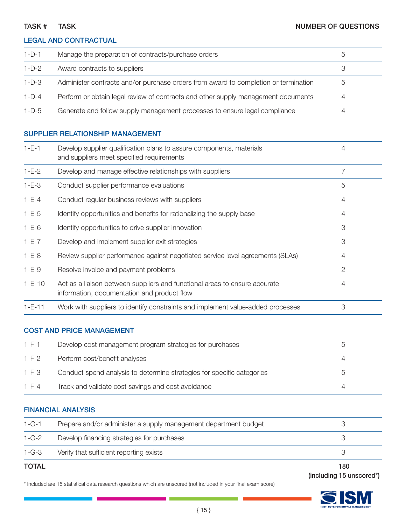#### LEGAL AND CONTRACTUAL

| 1-D-1   | Manage the preparation of contracts/purchase orders                                 | $\circ$ |  |
|---------|-------------------------------------------------------------------------------------|---------|--|
| $1-D-2$ | Award contracts to suppliers                                                        |         |  |
| $1-D-3$ | Administer contracts and/or purchase orders from award to completion or termination | $\circ$ |  |
| $1-D-4$ | Perform or obtain legal review of contracts and other supply management documents   | 4       |  |
| $1-D-5$ | Generate and follow supply management processes to ensure legal compliance          | 4       |  |

#### SUPPLIER RELATIONSHIP MANAGEMENT

| $1-E-1$      | Develop supplier qualification plans to assure components, materials<br>and suppliers meet specified requirements         | 4              |
|--------------|---------------------------------------------------------------------------------------------------------------------------|----------------|
| $1-E-2$      | Develop and manage effective relationships with suppliers                                                                 |                |
| $1 - E - 3$  | Conduct supplier performance evaluations                                                                                  | 5              |
| $1 - E - 4$  | Conduct regular business reviews with suppliers                                                                           | 4              |
| $1 - E - 5$  | Identify opportunities and benefits for rationalizing the supply base                                                     | 4              |
| $1 - E - 6$  | Identify opportunities to drive supplier innovation                                                                       | 3              |
| $1-E-7$      | Develop and implement supplier exit strategies                                                                            | 3              |
| $1-E-8$      | Review supplier performance against negotiated service level agreements (SLAs)                                            | 4              |
| $1 - E - 9$  | Resolve invoice and payment problems                                                                                      | $\overline{2}$ |
| $1-E-10$     | Act as a liaison between suppliers and functional areas to ensure accurate<br>information, documentation and product flow | 4              |
| $1 - E - 11$ | Work with suppliers to identify constraints and implement value-added processes                                           | 3              |

#### COST AND PRICE MANAGEMENT

| $1-F-1$     | Develop cost management program strategies for purchases               |  |
|-------------|------------------------------------------------------------------------|--|
| $1-F-2$     | Perform cost/benefit analyses                                          |  |
| $1-F-3$     | Conduct spend analysis to determine strategies for specific categories |  |
| $1 - F - 4$ | Track and validate cost savings and cost avoidance                     |  |

#### FINANCIAL ANALYSIS

| <b>TOTAL</b> |                                                                 | 180 |
|--------------|-----------------------------------------------------------------|-----|
| $1 - G - 3$  | Verify that sufficient reporting exists                         |     |
| $1 - G - 2$  | Develop financing strategies for purchases                      |     |
| $1 - G - 1$  | Prepare and/or administer a supply management department budget |     |

(including 15 unscored\*)

\* Included are 15 statistical data research questions which are unscored (not included in your final exam score)

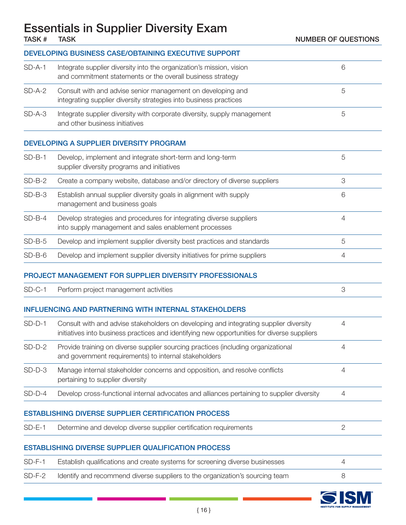### Essentials in Supplier Diversity Exam

|          | <b>DEVELOPING BUSINESS CASE/OBTAINING EXECUTIVE SUPPORT</b>                                                                                                                          |                |
|----------|--------------------------------------------------------------------------------------------------------------------------------------------------------------------------------------|----------------|
| $SD-A-1$ | Integrate supplier diversity into the organization's mission, vision<br>and commitment statements or the overall business strategy                                                   | 6              |
| $SD-A-2$ | Consult with and advise senior management on developing and<br>integrating supplier diversity strategies into business practices                                                     | 5              |
| $SD-A-3$ | Integrate supplier diversity with corporate diversity, supply management<br>and other business initiatives                                                                           | 5              |
|          | DEVELOPING A SUPPLIER DIVERSITY PROGRAM                                                                                                                                              |                |
| $SD-B-1$ | Develop, implement and integrate short-term and long-term<br>supplier diversity programs and initiatives                                                                             | 5              |
| $SD-B-2$ | Create a company website, database and/or directory of diverse suppliers                                                                                                             | 3              |
| $SD-B-3$ | Establish annual supplier diversity goals in alignment with supply<br>management and business goals                                                                                  | 6              |
| $SD-B-4$ | Develop strategies and procedures for integrating diverse suppliers<br>into supply management and sales enablement processes                                                         | $\overline{4}$ |
| $SD-B-5$ | Develop and implement supplier diversity best practices and standards                                                                                                                | 5              |
| $SD-B-6$ | Develop and implement supplier diversity initiatives for prime suppliers                                                                                                             | 4              |
|          | PROJECT MANAGEMENT FOR SUPPLIER DIVERSITY PROFESSIONALS                                                                                                                              |                |
| $SD-C-1$ | Perform project management activities                                                                                                                                                | 3              |
|          | <b>INFLUENCING AND PARTNERING WITH INTERNAL STAKEHOLDERS</b>                                                                                                                         |                |
| $SD-D-1$ | Consult with and advise stakeholders on developing and integrating supplier diversity<br>initiatives into business practices and identifying new opportunities for diverse suppliers | $\overline{4}$ |
| $SD-D-2$ | Provide training on diverse supplier sourcing practices (including organizational<br>and government requirements) to internal stakeholders                                           |                |
| $SD-D-3$ | Manage internal stakeholder concerns and opposition, and resolve conflicts<br>pertaining to supplier diversity                                                                       | $\overline{4}$ |
| $SD-D-4$ | Develop cross-functional internal advocates and alliances pertaining to supplier diversity                                                                                           | 4              |
|          | <b>ESTABLISHING DIVERSE SUPPLIER CERTIFICATION PROCESS</b>                                                                                                                           |                |
| $SD-E-1$ | Determine and develop diverse supplier certification requirements                                                                                                                    | $\mathbf{2}$   |
|          | <b>ESTABLISHING DIVERSE SUPPLIER QUALIFICATION PROCESS</b>                                                                                                                           |                |
| $SD-F-1$ | Establish qualifications and create systems for screening diverse businesses                                                                                                         | 4              |
| $SD-F-2$ | Identify and recommend diverse suppliers to the organization's sourcing team                                                                                                         | 8              |
|          |                                                                                                                                                                                      |                |

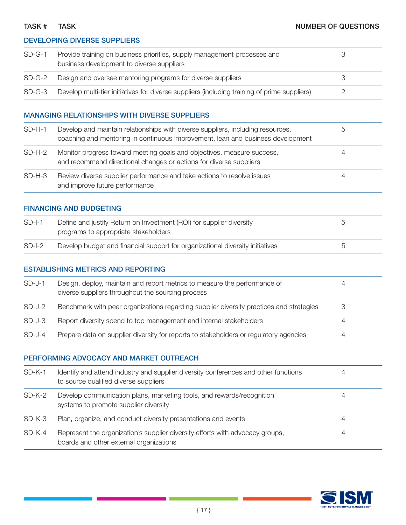| TASK # | TASK | <b>NUMBER OF QUESTIONS</b> |
|--------|------|----------------------------|
|        |      |                            |

DEVELOPING DIVERSE SUPPLIERS

| $SD-G-1$ | 3<br>Provide training on business priorities, supply management processes and<br>business development to diverse suppliers                                              |                           |
|----------|-------------------------------------------------------------------------------------------------------------------------------------------------------------------------|---------------------------|
| $SD-G-2$ | Design and oversee mentoring programs for diverse suppliers                                                                                                             | 3                         |
| $SD-G-3$ | Develop multi-tier initiatives for diverse suppliers (including training of prime suppliers)                                                                            | $\mathbf{2}$              |
|          | <b>MANAGING RELATIONSHIPS WITH DIVERSE SUPPLIERS</b>                                                                                                                    |                           |
| $SD-H-1$ | 5<br>Develop and maintain relationships with diverse suppliers, including resources,<br>coaching and mentoring in continuous improvement, lean and business development |                           |
| $SD-H-2$ | Monitor progress toward meeting goals and objectives, measure success,<br>$\overline{4}$<br>and recommend directional changes or actions for diverse suppliers          |                           |
| $SD-H-3$ | Review diverse supplier performance and take actions to resolve issues<br>and improve future performance                                                                | $\overline{4}$            |
|          | <b>FINANCING AND BUDGETING</b>                                                                                                                                          |                           |
| $SD-I-1$ | Define and justify Return on Investment (ROI) for supplier diversity<br>programs to appropriate stakeholders                                                            | 5                         |
| $SD-I-2$ | Develop budget and financial support for organizational diversity initiatives                                                                                           | 5                         |
|          | <b>ESTABLISHING METRICS AND REPORTING</b>                                                                                                                               |                           |
| $SD-J-1$ | Design, deploy, maintain and report metrics to measure the performance of<br>diverse suppliers throughout the sourcing process                                          | $\overline{4}$            |
| $SD-J-2$ | Benchmark with peer organizations regarding supplier diversity practices and strategies                                                                                 | $\ensuremath{\mathsf{3}}$ |
| $SD-J-3$ | Report diversity spend to top management and internal stakeholders                                                                                                      | 4                         |
| $SD-J-4$ | Prepare data on supplier diversity for reports to stakeholders or regulatory agencies                                                                                   | 4                         |
|          | PERFORMING ADVOCACY AND MARKET OUTREACH                                                                                                                                 |                           |
| $SD-K-1$ | Identify and attend industry and supplier diversity conferences and other functions<br>to source qualified diverse suppliers                                            | $\overline{4}$            |
| $SD-K-2$ | Develop communication plans, marketing tools, and rewards/recognition<br>systems to promote supplier diversity                                                          | $\overline{4}$            |
| $SD-K-3$ | Plan, organize, and conduct diversity presentations and events                                                                                                          | $\overline{4}$            |
| $SD-K-4$ | Represent the organization's supplier diversity efforts with advocacy groups,                                                                                           | $\overline{4}$            |

boards and other external organizations

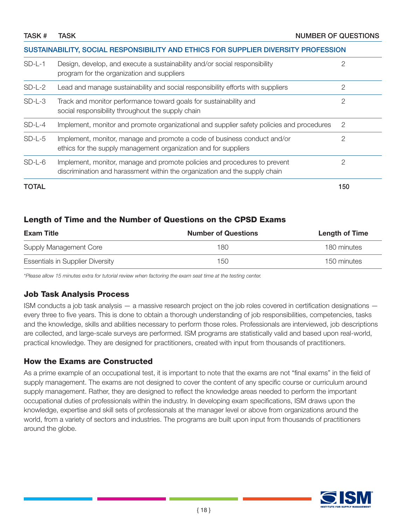#### SUSTAINABILITY, SOCIAL RESPONSIBILITY AND ETHICS FOR SUPPLIER DIVERSITY PROFESSION

| $SD-L-1$     | Design, develop, and execute a sustainability and/or social responsibility<br>program for the organization and suppliers                                | 2   |
|--------------|---------------------------------------------------------------------------------------------------------------------------------------------------------|-----|
| $SD-L-2$     | Lead and manage sustainability and social responsibility efforts with suppliers                                                                         | 2   |
| $SD-L-3$     | Track and monitor performance toward goals for sustainability and<br>social responsibility throughout the supply chain                                  | 2   |
| $SD-L-4$     | Implement, monitor and promote organizational and supplier safety policies and procedures                                                               | -2  |
| $SD-L-5$     | Implement, monitor, manage and promote a code of business conduct and/or<br>ethics for the supply management organization and for suppliers             |     |
| $SD-L-6$     | Implement, monitor, manage and promote policies and procedures to prevent<br>discrimination and harassment within the organization and the supply chain | 2   |
| <b>TOTAL</b> |                                                                                                                                                         | 150 |

#### Length of Time and the Number of Questions on the CPSD Exams

| <b>Exam Title</b>                       | <b>Number of Questions</b> | Length of Time |
|-----------------------------------------|----------------------------|----------------|
| Supply Management Core                  | 180                        | 180 minutes    |
| <b>Essentials in Supplier Diversity</b> | 150                        | 150 minutes    |

*\*Please allow 15 minutes extra for tutorial review when factoring the exam seat time at the testing center.*

#### Job Task Analysis Process

ISM conducts a job task analysis — a massive research project on the job roles covered in certification designations every three to five years. This is done to obtain a thorough understanding of job responsibilities, competencies, tasks and the knowledge, skills and abilities necessary to perform those roles. Professionals are interviewed, job descriptions are collected, and large-scale surveys are performed. ISM programs are statistically valid and based upon real-world, practical knowledge. They are designed for practitioners, created with input from thousands of practitioners.

#### How the Exams are Constructed

As a prime example of an occupational test, it is important to note that the exams are not "final exams" in the field of supply management. The exams are not designed to cover the content of any specific course or curriculum around supply management. Rather, they are designed to reflect the knowledge areas needed to perform the important occupational duties of professionals within the industry. In developing exam specifications, ISM draws upon the knowledge, expertise and skill sets of professionals at the manager level or above from organizations around the world, from a variety of sectors and industries. The programs are built upon input from thousands of practitioners around the globe.

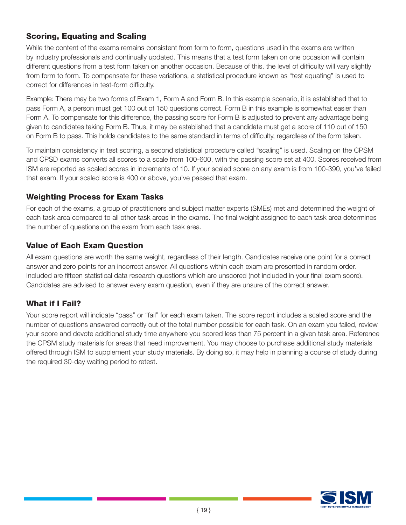### Scoring, Equating and Scaling

While the content of the exams remains consistent from form to form, questions used in the exams are written by industry professionals and continually updated. This means that a test form taken on one occasion will contain different questions from a test form taken on another occasion. Because of this, the level of difficulty will vary slightly from form to form. To compensate for these variations, a statistical procedure known as "test equating" is used to correct for differences in test-form difficulty.

Example: There may be two forms of Exam 1, Form A and Form B. In this example scenario, it is established that to pass Form A, a person must get 100 out of 150 questions correct. Form B in this example is somewhat easier than Form A. To compensate for this difference, the passing score for Form B is adjusted to prevent any advantage being given to candidates taking Form B. Thus, it may be established that a candidate must get a score of 110 out of 150 on Form B to pass. This holds candidates to the same standard in terms of difficulty, regardless of the form taken.

To maintain consistency in test scoring, a second statistical procedure called "scaling" is used. Scaling on the CPSM and CPSD exams converts all scores to a scale from 100-600, with the passing score set at 400. Scores received from ISM are reported as scaled scores in increments of 10. If your scaled score on any exam is from 100-390, you've failed that exam. If your scaled score is 400 or above, you've passed that exam.

#### Weighting Process for Exam Tasks

For each of the exams, a group of practitioners and subject matter experts (SMEs) met and determined the weight of each task area compared to all other task areas in the exams. The final weight assigned to each task area determines the number of questions on the exam from each task area.

#### Value of Each Exam Question

All exam questions are worth the same weight, regardless of their length. Candidates receive one point for a correct answer and zero points for an incorrect answer. All questions within each exam are presented in random order. Included are fifteen statistical data research questions which are unscored (not included in your final exam score). Candidates are advised to answer every exam question, even if they are unsure of the correct answer.

#### What if I Fail?

Your score report will indicate "pass" or "fail" for each exam taken. The score report includes a scaled score and the number of questions answered correctly out of the total number possible for each task. On an exam you failed, review your score and devote additional study time anywhere you scored less than 75 percent in a given task area. Reference the CPSM study materials for areas that need improvement. You may choose to purchase additional study materials offered through ISM to supplement your study materials. By doing so, it may help in planning a course of study during the required 30-day waiting period to retest.

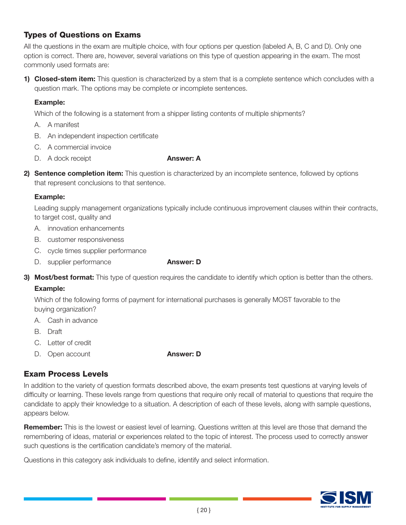#### Types of Questions on Exams

All the questions in the exam are multiple choice, with four options per question (labeled A, B, C and D). Only one option is correct. There are, however, several variations on this type of question appearing in the exam. The most commonly used formats are:

1) Closed-stem item: This question is characterized by a stem that is a complete sentence which concludes with a question mark. The options may be complete or incomplete sentences.

#### Example:

Which of the following is a statement from a shipper listing contents of multiple shipments?

- A. A manifest
- B. An independent inspection certificate
- C. A commercial invoice
- D. A dock receipt **Answer: A**

2) Sentence completion item: This question is characterized by an incomplete sentence, followed by options that represent conclusions to that sentence.

#### Example:

 Leading supply management organizations typically include continuous improvement clauses within their contracts, to target cost, quality and

- A. innovation enhancements
- B. customer responsiveness
- C. cycle times supplier performance
- D. supplier performance **Answer: D**
- 3) Most/best format: This type of question requires the candidate to identify which option is better than the others.

#### Example:

 Which of the following forms of payment for international purchases is generally MOST favorable to the buying organization?

- A. Cash in advance
- B. Draft
- C. Letter of credit
- D. Open account **Answer: D**

#### Exam Process Levels

In addition to the variety of question formats described above, the exam presents test questions at varying levels of difficulty or learning. These levels range from questions that require only recall of material to questions that require the candidate to apply their knowledge to a situation. A description of each of these levels, along with sample questions, appears below.

Remember: This is the lowest or easiest level of learning. Questions written at this level are those that demand the remembering of ideas, material or experiences related to the topic of interest. The process used to correctly answer such questions is the certification candidate's memory of the material.

Questions in this category ask individuals to define, identify and select information.

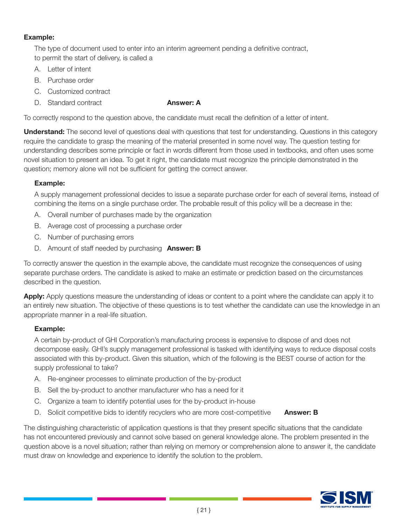#### Example:

 The type of document used to enter into an interim agreement pending a definitive contract, to permit the start of delivery, is called a

- A. Letter of intent
- B. Purchase order
- C. Customized contract
- D. Standard contract **Answer: A**

To correctly respond to the question above, the candidate must recall the definition of a letter of intent.

**Understand:** The second level of questions deal with questions that test for understanding. Questions in this category require the candidate to grasp the meaning of the material presented in some novel way. The question testing for understanding describes some principle or fact in words different from those used in textbooks, and often uses some novel situation to present an idea. To get it right, the candidate must recognize the principle demonstrated in the question; memory alone will not be sufficient for getting the correct answer.

#### Example:

 A supply management professional decides to issue a separate purchase order for each of several items, instead of combining the items on a single purchase order. The probable result of this policy will be a decrease in the:

- A. Overall number of purchases made by the organization
- B. Average cost of processing a purchase order
- C. Number of purchasing errors
- D. Amount of staff needed by purchasing **Answer: B**

To correctly answer the question in the example above, the candidate must recognize the consequences of using separate purchase orders. The candidate is asked to make an estimate or prediction based on the circumstances described in the question.

Apply: Apply questions measure the understanding of ideas or content to a point where the candidate can apply it to an entirely new situation. The objective of these questions is to test whether the candidate can use the knowledge in an appropriate manner in a real-life situation.

#### Example:

 A certain by-product of GHI Corporation's manufacturing process is expensive to dispose of and does not decompose easily. GHI's supply management professional is tasked with identifying ways to reduce disposal costs associated with this by-product. Given this situation, which of the following is the BEST course of action for the supply professional to take?

- A. Re-engineer processes to eliminate production of the by-product
- B. Sell the by-product to another manufacturer who has a need for it
- C. Organize a team to identify potential uses for the by-product in-house
- D. Solicit competitive bids to identify recyclers who are more cost-competitive **Answer: B**

The distinguishing characteristic of application questions is that they present specific situations that the candidate has not encountered previously and cannot solve based on general knowledge alone. The problem presented in the question above is a novel situation; rather than relying on memory or comprehension alone to answer it, the candidate must draw on knowledge and experience to identify the solution to the problem.

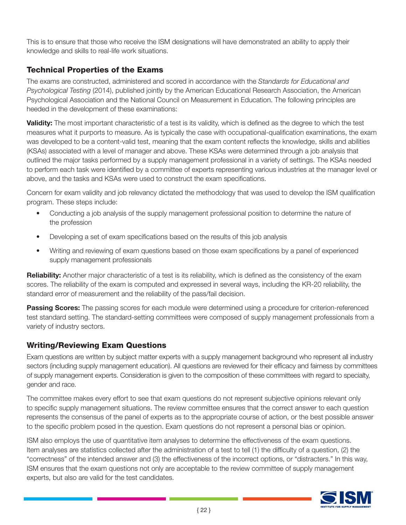This is to ensure that those who receive the ISM designations will have demonstrated an ability to apply their knowledge and skills to real-life work situations.

#### Technical Properties of the Exams

The exams are constructed, administered and scored in accordance with the *Standards for Educational and Psychological Testing* (2014), published jointly by the American Educational Research Association, the American Psychological Association and the National Council on Measurement in Education. The following principles are heeded in the development of these examinations:

Validity: The most important characteristic of a test is its validity, which is defined as the degree to which the test measures what it purports to measure. As is typically the case with occupational-qualification examinations, the exam was developed to be a content-valid test, meaning that the exam content reflects the knowledge, skills and abilities (KSAs) associated with a level of manager and above. These KSAs were determined through a job analysis that outlined the major tasks performed by a supply management professional in a variety of settings. The KSAs needed to perform each task were identified by a committee of experts representing various industries at the manager level or above, and the tasks and KSAs were used to construct the exam specifications.

Concern for exam validity and job relevancy dictated the methodology that was used to develop the ISM qualification program. These steps include:

- Conducting a job analysis of the supply management professional position to determine the nature of the profession
- Developing a set of exam specifications based on the results of this job analysis
- Writing and reviewing of exam questions based on those exam specifications by a panel of experienced supply management professionals

Reliability: Another major characteristic of a test is its reliability, which is defined as the consistency of the exam scores. The reliability of the exam is computed and expressed in several ways, including the KR-20 reliability, the standard error of measurement and the reliability of the pass/fail decision.

**Passing Scores:** The passing scores for each module were determined using a procedure for criterion-referenced test standard setting. The standard-setting committees were composed of supply management professionals from a variety of industry sectors.

#### Writing/Reviewing Exam Questions

Exam questions are written by subject matter experts with a supply management background who represent all industry sectors (including supply management education). All questions are reviewed for their efficacy and fairness by committees of supply management experts. Consideration is given to the composition of these committees with regard to specialty, gender and race.

The committee makes every effort to see that exam questions do not represent subjective opinions relevant only to specific supply management situations. The review committee ensures that the correct answer to each question represents the consensus of the panel of experts as to the appropriate course of action, or the best possible answer to the specific problem posed in the question. Exam questions do not represent a personal bias or opinion.

ISM also employs the use of quantitative item analyses to determine the effectiveness of the exam questions. Item analyses are statistics collected after the administration of a test to tell (1) the difficulty of a question, (2) the "correctness" of the intended answer and (3) the effectiveness of the incorrect options, or "distracters." In this way, ISM ensures that the exam questions not only are acceptable to the review committee of supply management experts, but also are valid for the test candidates.

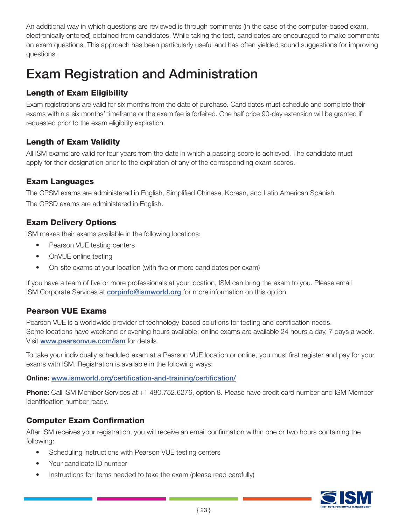An additional way in which questions are reviewed is through comments (in the case of the computer-based exam, electronically entered) obtained from candidates. While taking the test, candidates are encouraged to make comments on exam questions. This approach has been particularly useful and has often yielded sound suggestions for improving questions.

### Exam Registration and Administration

#### Length of Exam Eligibility

Exam registrations are valid for six months from the date of purchase. Candidates must schedule and complete their exams within a six months' timeframe or the exam fee is forfeited. One half price 90-day extension will be granted if requested prior to the exam eligibility expiration.

#### Length of Exam Validity

All ISM exams are valid for four years from the date in which a passing score is achieved. The candidate must apply for their designation prior to the expiration of any of the corresponding exam scores.

#### Exam Languages

The CPSM exams are administered in English, Simplified Chinese, Korean, and Latin American Spanish. The CPSD exams are administered in English.

#### Exam Delivery Options

ISM makes their exams available in the following locations:

- **Pearson VUE testing centers**
- OnVUE online testing
- On-site exams at your location (with five or more candidates per exam)

If you have a team of five or more professionals at your location, ISM can bring the exam to you. Please email ISM Corporate Services at **[corpinfo@ismworld.org](http://certification@ismworld.org)** for more information on this option.

#### Pearson VUE Exams

Pearson VUE is a worldwide provider of technology-based solutions for testing and certification needs. Some locations have weekend or evening hours available; online exams are available 24 hours a day, 7 days a week. Visit <www.pearsonvue.com/ism> for details.

To take your individually scheduled exam at a Pearson VUE location or online, you must first register and pay for your exams with ISM. Registration is available in the following ways:

Online: www.ismworld.org/certification-and-training/certification/

Phone: Call ISM Member Services at +1 480.752.6276, option 8. Please have credit card number and ISM Member identification number ready.

#### Computer Exam Confirmation

After ISM receives your registration, you will receive an email confirmation within one or two hours containing the following:

- Scheduling instructions with Pearson VUE testing centers
- Your candidate ID number
- Instructions for items needed to take the exam (please read carefully)

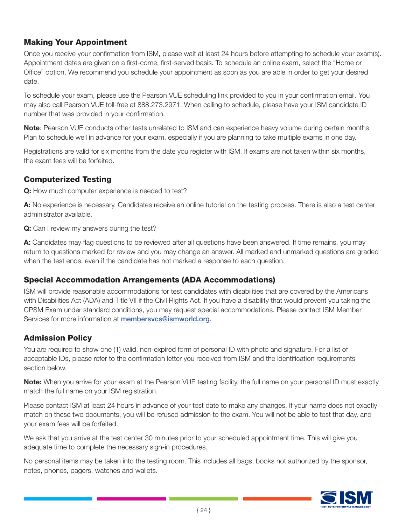#### Making Your Appointment

Once you receive your confirmation from ISM, please wait at least 24 hours before attempting to schedule your exam(s). Appointment dates are given on a first-come, first-served basis. To schedule an online exam, select the "Home or Office" option. We recommend you schedule your appointment as soon as you are able in order to get your desired date.

To schedule your exam, please use the Pearson VUE scheduling link provided to you in your confirmation email. You may also call Pearson VUE toll-free at 888.273.2971. When calling to schedule, please have your ISM candidate ID number that was provided in your confirmation.

Note: Pearson VUE conducts other tests unrelated to ISM and can experience heavy volume during certain months. Plan to schedule well in advance for your exam, especially if you are planning to take multiple exams in one day.

Registrations are valid for six months from the date you register with ISM. If exams are not taken within six months, the exam fees will be forfeited.

#### Computerized Testing

Q: How much computer experience is needed to test?

A: No experience is necessary. Candidates receive an online tutorial on the testing process. There is also a test center administrator available.

Q: Can I review my answers during the test?

A: Candidates may flag questions to be reviewed after all questions have been answered. If time remains, you may return to questions marked for review and you may change an answer. All marked and unmarked questions are graded when the test ends, even if the candidate has not marked a response to each question.

#### Special Accommodation Arrangements (ADA Accommodations)

ISM will provide reasonable accommodations for test candidates with disabilities that are covered by the Americans with Disabilities Act (ADA) and Title VII if the Civil Rights Act. If you have a disability that would prevent you taking the CPSM Exam under standard conditions, you may request special accommodations. Please contact ISM Member Services for more information at **membersvcs[@ismworld.org](http://certification@ismworld.org).** 

#### Admission Policy

You are required to show one (1) valid, non-expired form of personal ID with photo and signature. For a list of acceptable IDs, please refer to the confirmation letter you received from ISM and the identification requirements section below.

Note: When you arrive for your exam at the Pearson VUE testing facility, the full name on your personal ID must exactly match the full name on your ISM registration.

Please contact ISM at least 24 hours in advance of your test date to make any changes. If your name does not exactly match on these two documents, you will be refused admission to the exam. You will not be able to test that day, and your exam fees will be forfeited.

We ask that you arrive at the test center 30 minutes prior to your scheduled appointment time. This will give you adequate time to complete the necessary sign-in procedures.

No personal items may be taken into the testing room. This includes all bags, books not authorized by the sponsor, notes, phones, pagers, watches and wallets.

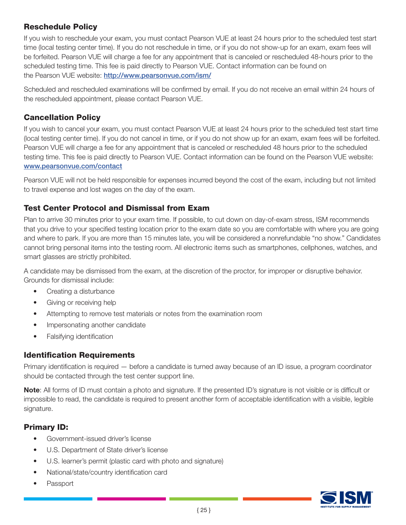#### Reschedule Policy

If you wish to reschedule your exam, you must contact Pearson VUE at least 24 hours prior to the scheduled test start time (local testing center time). If you do not reschedule in time, or if you do not show-up for an exam, exam fees will be forfeited. Pearson VUE will charge a fee for any appointment that is canceled or rescheduled 48-hours prior to the scheduled testing time. This fee is paid directly to Pearson VUE. Contact information can be found on the Pearson VUE website: <http://www.pearsonvue.com/ism/>

Scheduled and rescheduled examinations will be confirmed by email. If you do not receive an email within 24 hours of the rescheduled appointment, please contact Pearson VUE.

#### Cancellation Policy

If you wish to cancel your exam, you must contact Pearson VUE at least 24 hours prior to the scheduled test start time (local testing center time). If you do not cancel in time, or if you do not show up for an exam, exam fees will be forfeited. Pearson VUE will charge a fee for any appointment that is canceled or rescheduled 48 hours prior to the scheduled testing time. This fee is paid directly to Pearson VUE. Contact information can be found on the Pearson VUE website: <www.pearsonvue.com/contact>

Pearson VUE will not be held responsible for expenses incurred beyond the cost of the exam, including but not limited to travel expense and lost wages on the day of the exam.

#### Test Center Protocol and Dismissal from Exam

Plan to arrive 30 minutes prior to your exam time. If possible, to cut down on day-of-exam stress, ISM recommends that you drive to your specified testing location prior to the exam date so you are comfortable with where you are going and where to park. If you are more than 15 minutes late, you will be considered a nonrefundable "no show." Candidates cannot bring personal items into the testing room. All electronic items such as smartphones, cellphones, watches, and smart glasses are strictly prohibited.

A candidate may be dismissed from the exam, at the discretion of the proctor, for improper or disruptive behavior. Grounds for dismissal include:

- Creating a disturbance
- Giving or receiving help
- Attempting to remove test materials or notes from the examination room
- Impersonating another candidate
- Falsifying identification

#### Identification Requirements

Primary identification is required — before a candidate is turned away because of an ID issue, a program coordinator should be contacted through the test center support line.

Note: All forms of ID must contain a photo and signature. If the presented ID's signature is not visible or is difficult or impossible to read, the candidate is required to present another form of acceptable identification with a visible, legible signature.

#### Primary ID:

- Government-issued driver's license
- U.S. Department of State driver's license
- U.S. learner's permit (plastic card with photo and signature)
- National/state/country identification card
- Passport

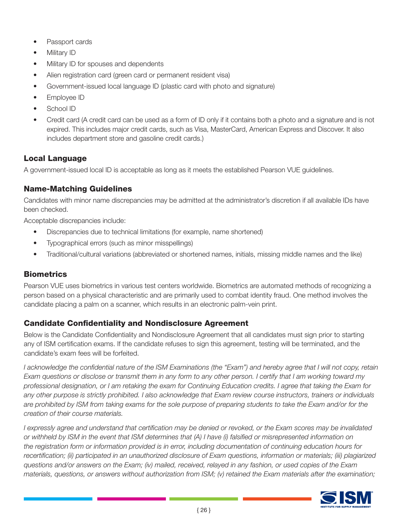- Passport cards
- Military ID
- Military ID for spouses and dependents
- Alien registration card (green card or permanent resident visa)
- Government-issued local language ID (plastic card with photo and signature)
- Employee ID
- School ID
- Credit card (A credit card can be used as a form of ID only if it contains both a photo and a signature and is not expired. This includes major credit cards, such as Visa, MasterCard, American Express and Discover. It also includes department store and gasoline credit cards.)

#### Local Language

A government-issued local ID is acceptable as long as it meets the established Pearson VUE guidelines.

#### Name-Matching Guidelines

Candidates with minor name discrepancies may be admitted at the administrator's discretion if all available IDs have been checked.

Acceptable discrepancies include:

- Discrepancies due to technical limitations (for example, name shortened)
- Typographical errors (such as minor misspellings)
- Traditional/cultural variations (abbreviated or shortened names, initials, missing middle names and the like)

#### **Biometrics**

Pearson VUE uses biometrics in various test centers worldwide. Biometrics are automated methods of recognizing a person based on a physical characteristic and are primarily used to combat identity fraud. One method involves the candidate placing a palm on a scanner, which results in an electronic palm-vein print.

#### Candidate Confidentiality and Nondisclosure Agreement

Below is the Candidate Confidentiality and Nondisclosure Agreement that all candidates must sign prior to starting any of ISM certification exams. If the candidate refuses to sign this agreement, testing will be terminated, and the candidate's exam fees will be forfeited.

*I acknowledge the confidential nature of the ISM Examinations (the "Exam") and hereby agree that I will not copy, retain Exam questions or disclose or transmit them in any form to any other person. I certify that I am working toward my professional designation, or I am retaking the exam for Continuing Education credits. I agree that taking the Exam for any other purpose is strictly prohibited. I also acknowledge that Exam review course instructors, trainers or individuals*  are prohibited by ISM from taking exams for the sole purpose of preparing students to take the Exam and/or for the *creation of their course materials.* 

*I expressly agree and understand that certification may be denied or revoked, or the Exam scores may be invalidated or withheld by ISM in the event that ISM determines that (A) I have (i) falsified or misrepresented information on the registration form or information provided is in error, including documentation of continuing education hours for recertification; (ii) participated in an unauthorized disclosure of Exam questions, information or materials; (iii) plagiarized questions and/or answers on the Exam; (iv) mailed, received, relayed in any fashion, or used copies of the Exam materials, questions, or answers without authorization from ISM; (v) retained the Exam materials after the examination;* 

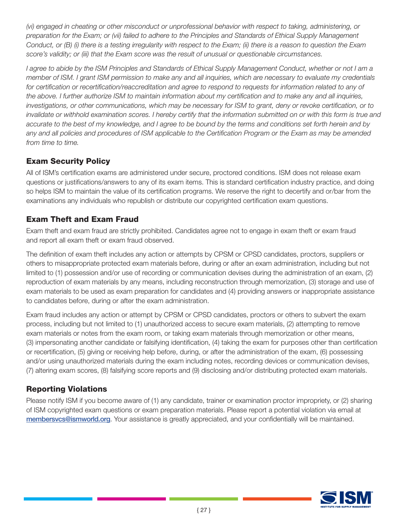*(vi) engaged in cheating or other misconduct or unprofessional behavior with respect to taking, administering, or preparation for the Exam; or (vii) failed to adhere to the Principles and Standards of Ethical Supply Management Conduct, or (B) (i) there is a testing irregularity with respect to the Exam; (ii) there is a reason to question the Exam score's validity; or (iii) that the Exam score was the result of unusual or questionable circumstances.* 

*I agree to abide by the ISM Principles and Standards of Ethical Supply Management Conduct, whether or not I am a member of ISM. I grant ISM permission to make any and all inquiries, which are necessary to evaluate my credentials*  for certification or recertification/reaccreditation and agree to respond to requests for information related to any of *the above. I further authorize ISM to maintain information about my certification and to make any and all inquiries, investigations, or other communications, which may be necessary for ISM to grant, deny or revoke certification, or to invalidate or withhold examination scores. I hereby certify that the information submitted on or with this form is true and accurate to the best of my knowledge, and I agree to be bound by the terms and conditions set forth herein and by any and all policies and procedures of ISM applicable to the Certification Program or the Exam as may be amended from time to time.*

#### Exam Security Policy

All of ISM's certification exams are administered under secure, proctored conditions. ISM does not release exam questions or justifications/answers to any of its exam items. This is standard certification industry practice, and doing so helps ISM to maintain the value of its certification programs. We reserve the right to decertify and or/bar from the examinations any individuals who republish or distribute our copyrighted certification exam questions.

#### Exam Theft and Exam Fraud

Exam theft and exam fraud are strictly prohibited. Candidates agree not to engage in exam theft or exam fraud and report all exam theft or exam fraud observed.

The definition of exam theft includes any action or attempts by CPSM or CPSD candidates, proctors, suppliers or others to misappropriate protected exam materials before, during or after an exam administration, including but not limited to (1) possession and/or use of recording or communication devises during the administration of an exam, (2) reproduction of exam materials by any means, including reconstruction through memorization, (3) storage and use of exam materials to be used as exam preparation for candidates and (4) providing answers or inappropriate assistance to candidates before, during or after the exam administration.

Exam fraud includes any action or attempt by CPSM or CPSD candidates, proctors or others to subvert the exam process, including but not limited to (1) unauthorized access to secure exam materials, (2) attempting to remove exam materials or notes from the exam room, or taking exam materials through memorization or other means, (3) impersonating another candidate or falsifying identification, (4) taking the exam for purposes other than certification or recertification, (5) giving or receiving help before, during, or after the administration of the exam, (6) possessing and/or using unauthorized materials during the exam including notes, recording devices or communication devises, (7) altering exam scores, (8) falsifying score reports and (9) disclosing and/or distributing protected exam materials.

#### Reporting Violations

Please notify ISM if you become aware of (1) any candidate, trainer or examination proctor impropriety, or (2) sharing of ISM copyrighted exam questions or exam preparation materials. Please report a potential violation via email at membersvcs@ismworld.org. Your assistance is greatly appreciated, and your confidentially will be maintained.

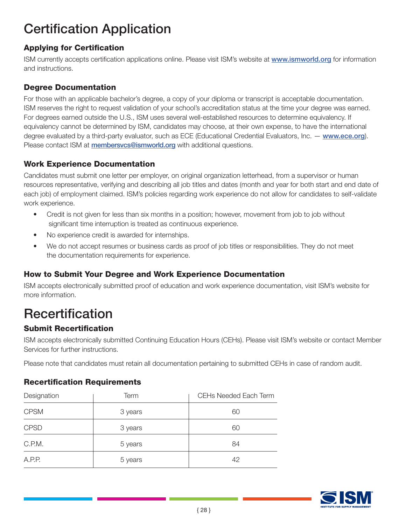### Certification Application

### Applying for Certification

ISM currently accepts certification applications online. Please visit ISM's website at www.ismworld.org for information and instructions.

#### Degree Documentation

For those with an applicable bachelor's degree, a copy of your diploma or transcript is acceptable documentation. ISM reserves the right to request validation of your school's accreditation status at the time your degree was earned. For degrees earned outside the U.S., ISM uses several well-established resources to determine equivalency. If equivalency cannot be determined by ISM, candidates may choose, at their own expense, to have the international degree evaluated by a third-party evaluator, such as ECE (Educational Credential Evaluators, Inc. — <www.ece.org>). Please contact ISM at **membersvcs@ismworld.org** with additional questions.

#### Work Experience Documentation

Candidates must submit one letter per employer, on original organization letterhead, from a supervisor or human resources representative, verifying and describing all job titles and dates (month and year for both start and end date of each job) of employment claimed. ISM's policies regarding work experience do not allow for candidates to self-validate work experience.

- Credit is not given for less than six months in a position; however, movement from job to job without significant time interruption is treated as continuous experience.
- No experience credit is awarded for internships.
- We do not accept resumes or business cards as proof of job titles or responsibilities. They do not meet the documentation requirements for experience.

#### How to Submit Your Degree and Work Experience Documentation

ISM accepts electronically submitted proof of education and work experience documentation, visit ISM's website for more information.

## Recertification

#### Submit Recertification

ISM accepts electronically submitted Continuing Education Hours (CEHs). Please visit ISM's website or contact Member Services for further instructions.

Please note that candidates must retain all documentation pertaining to submitted CEHs in case of random audit.

#### Recertification Requirements

| Designation | Term    | CEHs Needed Each Term |
|-------------|---------|-----------------------|
| <b>CPSM</b> | 3 years | 60                    |
| <b>CPSD</b> | 3 years | 60                    |
| C.P.M.      | 5 years | 84                    |
| A.P.P.      | 5 years | 42                    |

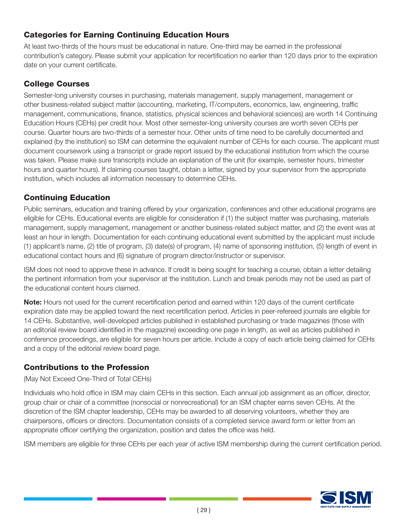#### Categories for Earning Continuing Education Hours

At least two-thirds of the hours must be educational in nature. One-third may be earned in the professional contribution's category. Please submit your application for recertification no earlier than 120 days prior to the expiration date on your current certificate.

### College Courses

Semester-long university courses in purchasing, materials management, supply management, management or other business-related subject matter (accounting, marketing, IT/computers, economics, law, engineering, traffic management, communications, finance, statistics, physical sciences and behavioral sciences) are worth 14 Continuing Education Hours (CEHs) per credit hour. Most other semester-long university courses are worth seven CEHs per course. Quarter hours are two-thirds of a semester hour. Other units of time need to be carefully documented and explained (by the institution) so ISM can determine the equivalent number of CEHs for each course. The applicant must document coursework using a transcript or grade report issued by the educational institution from which the course was taken. Please make sure transcripts include an explanation of the unit (for example, semester hours, trimester hours and quarter hours). If claiming courses taught, obtain a letter, signed by your supervisor from the appropriate institution, which includes all information necessary to determine CEHs.

### Continuing Education

Public seminars, education and training offered by your organization, conferences and other educational programs are eligible for CEHs. Educational events are eligible for consideration if (1) the subject matter was purchasing, materials management, supply management, management or another business-related subject matter, and (2) the event was at least an hour in length. Documentation for each continuing educational event submitted by the applicant must include (1) applicant's name, (2) title of program, (3) date(s) of program, (4) name of sponsoring institution, (5) length of event in educational contact hours and (6) signature of program director/instructor or supervisor.

ISM does not need to approve these in advance. If credit is being sought for teaching a course, obtain a letter detailing the pertinent information from your supervisor at the institution. Lunch and break periods may not be used as part of the educational content hours claimed.

Note: Hours not used for the current recertification period and earned within 120 days of the current certificate expiration date may be applied toward the next recertification period. Articles in peer-refereed journals are eligible for 14 CEHs. Substantive, well-developed articles published in established purchasing or trade magazines (those with an editorial review board identified in the magazine) exceeding one page in length, as well as articles published in conference proceedings, are eligible for seven hours per article. Include a copy of each article being claimed for CEHs and a copy of the editorial review board page.

#### Contributions to the Profession

(May Not Exceed One-Third of Total CEHs)

Individuals who hold office in ISM may claim CEHs in this section. Each annual job assignment as an officer, director, group chair or chair of a committee (nonsocial or nonrecreational) for an ISM chapter earns seven CEHs. At the discretion of the ISM chapter leadership, CEHs may be awarded to all deserving volunteers, whether they are chairpersons, officers or directors. Documentation consists of a completed service award form or letter from an appropriate officer certifying the organization, position and dates the office was held.

ISM members are eligible for three CEHs per each year of active ISM membership during the current certification period.

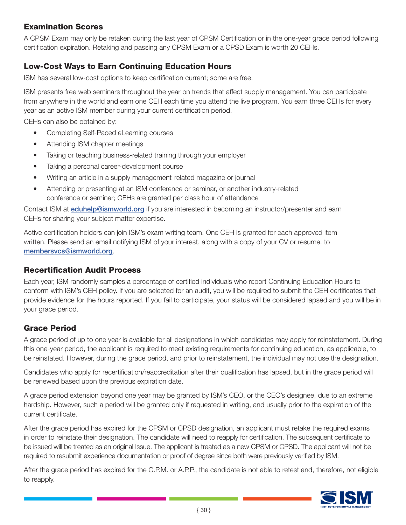#### Examination Scores

A CPSM Exam may only be retaken during the last year of CPSM Certification or in the one-year grace period following certification expiration. Retaking and passing any CPSM Exam or a CPSD Exam is worth 20 CEHs.

#### Low-Cost Ways to Earn Continuing Education Hours

ISM has several low-cost options to keep certification current; some are free.

ISM presents free web seminars throughout the year on trends that affect supply management. You can participate from anywhere in the world and earn one CEH each time you attend the live program. You earn three CEHs for every year as an active ISM member during your current certification period.

CEHs can also be obtained by:

- Completing Self-Paced eLearning courses
- Attending ISM chapter meetings
- Taking or teaching business-related training through your employer
- Taking a personal career-development course
- Writing an article in a supply management-related magazine or journal
- Attending or presenting at an ISM conference or seminar, or another industry-related conference or seminar; CEHs are granted per class hour of attendance

Contact ISM at [eduhelp@ismworld.org](http://eduhelp@ismworld.org) if you are interested in becoming an instructor/presenter and earn CEHs for sharing your subject matter expertise.

Active certification holders can join ISM's exam writing team. One CEH is granted for each approved item written. Please send an email notifying ISM of your interest, along with a copy of your CV or resume, to membersvcs@ismworld.org.

#### Recertification Audit Process

Each year, ISM randomly samples a percentage of certified individuals who report Continuing Education Hours to conform with ISM's CEH policy. If you are selected for an audit, you will be required to submit the CEH certificates that provide evidence for the hours reported. If you fail to participate, your status will be considered lapsed and you will be in your grace period.

#### Grace Period

A grace period of up to one year is available for all designations in which candidates may apply for reinstatement. During this one-year period, the applicant is required to meet existing requirements for continuing education, as applicable, to be reinstated. However, during the grace period, and prior to reinstatement, the individual may not use the designation.

Candidates who apply for recertification/reaccreditation after their qualification has lapsed, but in the grace period will be renewed based upon the previous expiration date.

A grace period extension beyond one year may be granted by ISM's CEO, or the CEO's designee, due to an extreme hardship. However, such a period will be granted only if requested in writing, and usually prior to the expiration of the current certificate.

After the grace period has expired for the CPSM or CPSD designation, an applicant must retake the required exams in order to reinstate their designation. The candidate will need to reapply for certification. The subsequent certificate to be issued will be treated as an original Issue. The applicant is treated as a new CPSM or CPSD. The applicant will not be required to resubmit experience documentation or proof of degree since both were previously verified by ISM.

After the grace period has expired for the C.P.M. or A.P.P., the candidate is not able to retest and, therefore, not eligible to reapply.

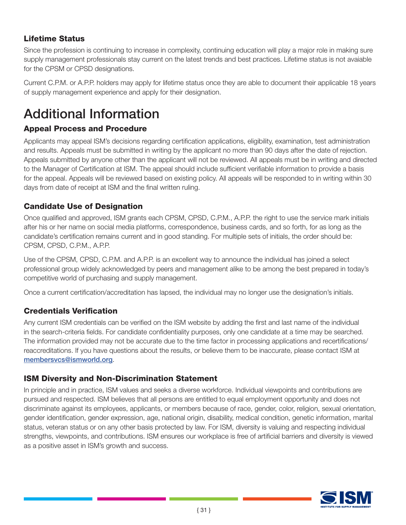### Lifetime Status

Since the profession is continuing to increase in complexity, continuing education will play a major role in making sure supply management professionals stay current on the latest trends and best practices. Lifetime status is not avaiable for the CPSM or CPSD designations.

Current C.P.M. or A.P.P. holders may apply for lifetime status once they are able to document their applicable 18 years of supply management experience and apply for their designation.

### Additional Information

#### Appeal Process and Procedure

Applicants may appeal ISM's decisions regarding certification applications, eligibility, examination, test administration and results. Appeals must be submitted in writing by the applicant no more than 90 days after the date of rejection. Appeals submitted by anyone other than the applicant will not be reviewed. All appeals must be in writing and directed to the Manager of Certification at ISM. The appeal should include sufficient verifiable information to provide a basis for the appeal. Appeals will be reviewed based on existing policy. All appeals will be responded to in writing within 30 days from date of receipt at ISM and the final written ruling.

#### Candidate Use of Designation

Once qualified and approved, ISM grants each CPSM, CPSD, C.P.M., A.P.P. the right to use the service mark initials after his or her name on social media platforms, correspondence, business cards, and so forth, for as long as the candidate's certification remains current and in good standing. For multiple sets of initials, the order should be: CPSM, CPSD, C.P.M., A.P.P.

Use of the CPSM, CPSD, C.P.M. and A.P.P. is an excellent way to announce the individual has joined a select professional group widely acknowledged by peers and management alike to be among the best prepared in today's competitive world of purchasing and supply management.

Once a current certification/accreditation has lapsed, the individual may no longer use the designation's initials.

#### Credentials Verification

Any current ISM credentials can be verified on the ISM website by adding the first and last name of the individual in the search-criteria fields. For candidate confidentiality purposes, only one candidate at a time may be searched. The information provided may not be accurate due to the time factor in processing applications and recertifications/ reaccreditations. If you have questions about the results, or believe them to be inaccurate, please contact ISM at membersvcs@ismworld.org.

#### ISM Diversity and Non-Discrimination Statement

In principle and in practice, ISM values and seeks a diverse workforce. Individual viewpoints and contributions are pursued and respected. ISM believes that all persons are entitled to equal employment opportunity and does not discriminate against its employees, applicants, or members because of race, gender, color, religion, sexual orientation, gender identification, gender expression, age, national origin, disability, medical condition, genetic information, marital status, veteran status or on any other basis protected by law. For ISM, diversity is valuing and respecting individual strengths, viewpoints, and contributions. ISM ensures our workplace is free of artificial barriers and diversity is viewed as a positive asset in ISM's growth and success.